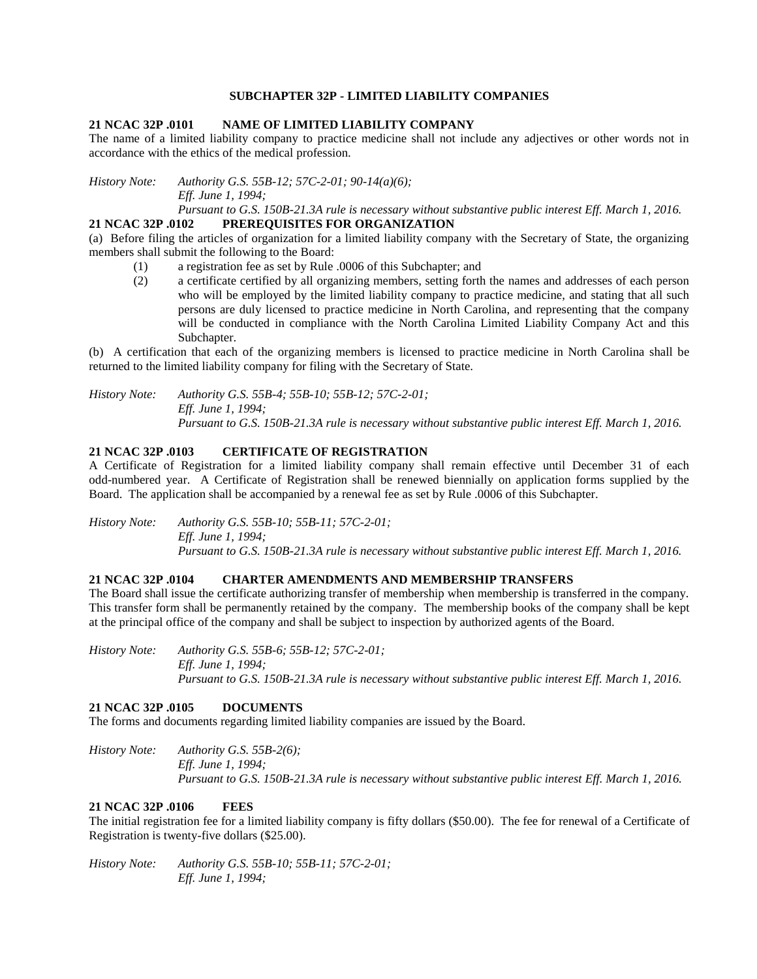#### **SUBCHAPTER 32P - LIMITED LIABILITY COMPANIES**

#### **21 NCAC 32P .0101 NAME OF LIMITED LIABILITY COMPANY**

The name of a limited liability company to practice medicine shall not include any adjectives or other words not in accordance with the ethics of the medical profession.

*History Note: Authority G.S. 55B-12; 57C-2-01; 90-14(a)(6); Eff. June 1, 1994;*

*Pursuant to G.S. 150B-21.3A rule is necessary without substantive public interest Eff. March 1, 2016.* **21 NCAC 32P .0102 PREREQUISITES FOR ORGANIZATION**

(a) Before filing the articles of organization for a limited liability company with the Secretary of State, the organizing members shall submit the following to the Board:

- (1) a registration fee as set by Rule .0006 of this Subchapter; and
- (2) a certificate certified by all organizing members, setting forth the names and addresses of each person who will be employed by the limited liability company to practice medicine, and stating that all such persons are duly licensed to practice medicine in North Carolina, and representing that the company will be conducted in compliance with the North Carolina Limited Liability Company Act and this Subchapter.

(b) A certification that each of the organizing members is licensed to practice medicine in North Carolina shall be returned to the limited liability company for filing with the Secretary of State.

*History Note: Authority G.S. 55B-4; 55B-10; 55B-12; 57C-2-01; Eff. June 1, 1994; Pursuant to G.S. 150B-21.3A rule is necessary without substantive public interest Eff. March 1, 2016.*

# **21 NCAC 32P .0103 CERTIFICATE OF REGISTRATION**

A Certificate of Registration for a limited liability company shall remain effective until December 31 of each odd-numbered year. A Certificate of Registration shall be renewed biennially on application forms supplied by the Board. The application shall be accompanied by a renewal fee as set by Rule .0006 of this Subchapter.

*History Note: Authority G.S. 55B-10; 55B-11; 57C-2-01; Eff. June 1, 1994; Pursuant to G.S. 150B-21.3A rule is necessary without substantive public interest Eff. March 1, 2016.*

# **21 NCAC 32P .0104 CHARTER AMENDMENTS AND MEMBERSHIP TRANSFERS**

The Board shall issue the certificate authorizing transfer of membership when membership is transferred in the company. This transfer form shall be permanently retained by the company. The membership books of the company shall be kept at the principal office of the company and shall be subject to inspection by authorized agents of the Board.

*History Note: Authority G.S. 55B-6; 55B-12; 57C-2-01; Eff. June 1, 1994; Pursuant to G.S. 150B-21.3A rule is necessary without substantive public interest Eff. March 1, 2016.*

#### **21 NCAC 32P .0105 DOCUMENTS**

The forms and documents regarding limited liability companies are issued by the Board.

*History Note: Authority G.S. 55B-2(6); Eff. June 1, 1994; Pursuant to G.S. 150B-21.3A rule is necessary without substantive public interest Eff. March 1, 2016.*

# **21 NCAC 32P .0106 FEES**

The initial registration fee for a limited liability company is fifty dollars (\$50.00). The fee for renewal of a Certificate of Registration is twenty-five dollars (\$25.00).

*History Note: Authority G.S. 55B-10; 55B-11; 57C-2-01; Eff. June 1, 1994;*